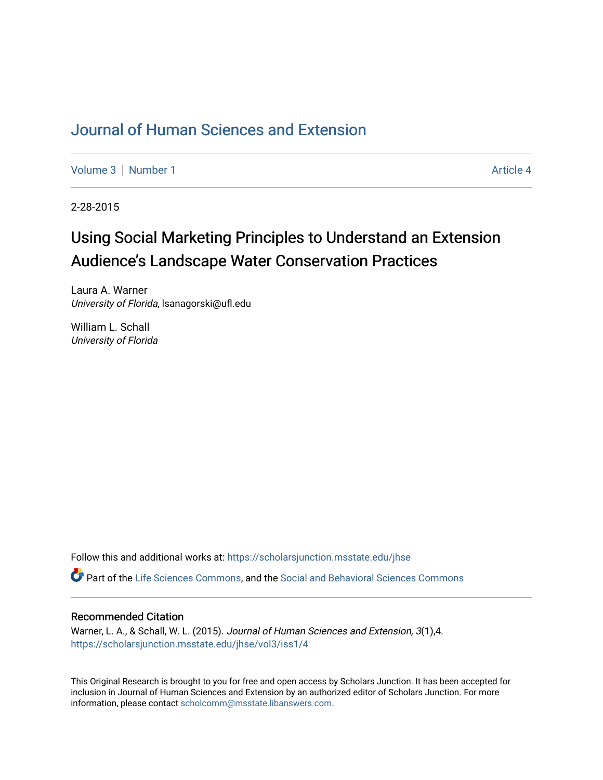## [Journal of Human Sciences and Extension](https://scholarsjunction.msstate.edu/jhse)

[Volume 3](https://scholarsjunction.msstate.edu/jhse/vol3) | [Number 1](https://scholarsjunction.msstate.edu/jhse/vol3/iss1) Article 4

2-28-2015

# Using Social Marketing Principles to Understand an Extension Audience's Landscape Water Conservation Practices

Laura A. Warner University of Florida, lsanagorski@ufl.edu

William L. Schall University of Florida

Follow this and additional works at: [https://scholarsjunction.msstate.edu/jhse](https://scholarsjunction.msstate.edu/jhse?utm_source=scholarsjunction.msstate.edu%2Fjhse%2Fvol3%2Fiss1%2F4&utm_medium=PDF&utm_campaign=PDFCoverPages)

Part of the [Life Sciences Commons,](http://network.bepress.com/hgg/discipline/1016?utm_source=scholarsjunction.msstate.edu%2Fjhse%2Fvol3%2Fiss1%2F4&utm_medium=PDF&utm_campaign=PDFCoverPages) and the [Social and Behavioral Sciences Commons](http://network.bepress.com/hgg/discipline/316?utm_source=scholarsjunction.msstate.edu%2Fjhse%2Fvol3%2Fiss1%2F4&utm_medium=PDF&utm_campaign=PDFCoverPages)

#### Recommended Citation

Warner, L. A., & Schall, W. L. (2015). Journal of Human Sciences and Extension, 3(1),4. [https://scholarsjunction.msstate.edu/jhse/vol3/iss1/4](https://scholarsjunction.msstate.edu/jhse/vol3/iss1/4?utm_source=scholarsjunction.msstate.edu%2Fjhse%2Fvol3%2Fiss1%2F4&utm_medium=PDF&utm_campaign=PDFCoverPages)

This Original Research is brought to you for free and open access by Scholars Junction. It has been accepted for inclusion in Journal of Human Sciences and Extension by an authorized editor of Scholars Junction. For more information, please contact [scholcomm@msstate.libanswers.com](mailto:scholcomm@msstate.libanswers.com).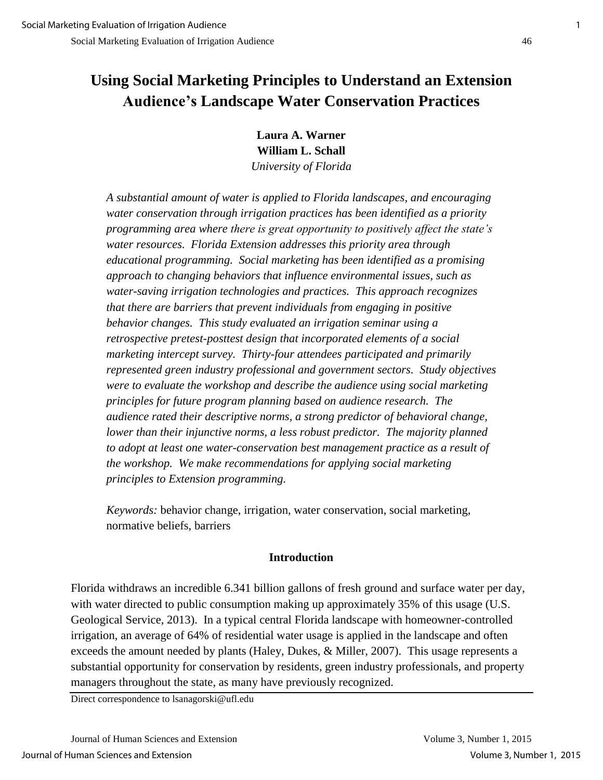# **Using Social Marketing Principles to Understand an Extension Audience's Landscape Water Conservation Practices**

**Laura A. Warner William L. Schall**  *University of Florida* 

*A substantial amount of water is applied to Florida landscapes, and encouraging water conservation through irrigation practices has been identified as a priority programming area where there is great opportunity to positively affect the state's water resources. Florida Extension addresses this priority area through educational programming. Social marketing has been identified as a promising approach to changing behaviors that influence environmental issues, such as water-saving irrigation technologies and practices. This approach recognizes that there are barriers that prevent individuals from engaging in positive behavior changes. This study evaluated an irrigation seminar using a retrospective pretest-posttest design that incorporated elements of a social marketing intercept survey. Thirty-four attendees participated and primarily represented green industry professional and government sectors. Study objectives were to evaluate the workshop and describe the audience using social marketing principles for future program planning based on audience research. The audience rated their descriptive norms, a strong predictor of behavioral change, lower than their injunctive norms, a less robust predictor. The majority planned to adopt at least one water-conservation best management practice as a result of the workshop. We make recommendations for applying social marketing principles to Extension programming.* 

*Keywords:* behavior change, irrigation, water conservation, social marketing, normative beliefs, barriers

## **Introduction**

Florida withdraws an incredible 6.341 billion gallons of fresh ground and surface water per day, with water directed to public consumption making up approximately 35% of this usage (U.S. Geological Service, 2013). In a typical central Florida landscape with homeowner-controlled irrigation, an average of 64% of residential water usage is applied in the landscape and often exceeds the amount needed by plants (Haley, Dukes, & Miller, 2007). This usage represents a substantial opportunity for conservation by residents, green industry professionals, and property managers throughout the state, as many have previously recognized.

Direct correspondence to lsanagorski@ufl.edu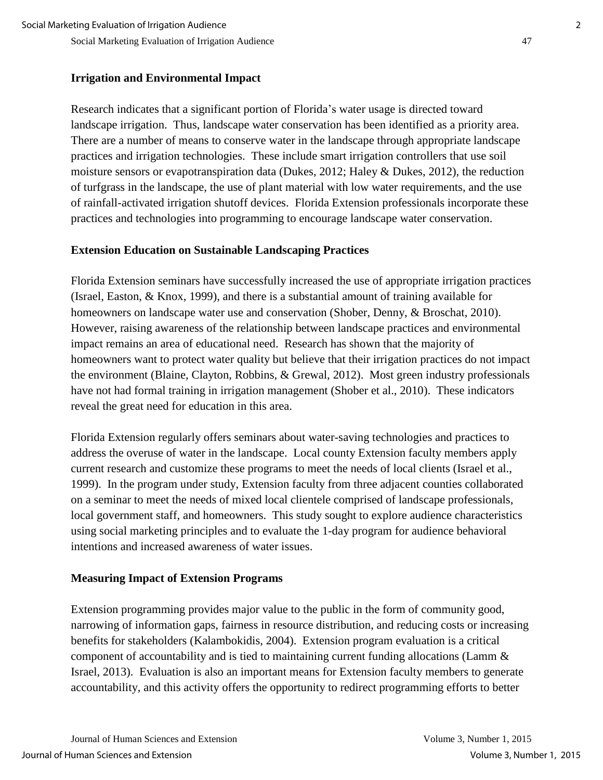### **Irrigation and Environmental Impact**

Research indicates that a significant portion of Florida's water usage is directed toward landscape irrigation. Thus, landscape water conservation has been identified as a priority area. There are a number of means to conserve water in the landscape through appropriate landscape practices and irrigation technologies. These include smart irrigation controllers that use soil moisture sensors or evapotranspiration data (Dukes, 2012; Haley & Dukes, 2012), the reduction of turfgrass in the landscape, the use of plant material with low water requirements, and the use of rainfall-activated irrigation shutoff devices. Florida Extension professionals incorporate these practices and technologies into programming to encourage landscape water conservation.

#### **Extension Education on Sustainable Landscaping Practices**

Florida Extension seminars have successfully increased the use of appropriate irrigation practices (Israel, Easton, & Knox, 1999), and there is a substantial amount of training available for homeowners on landscape water use and conservation (Shober, Denny, & Broschat, 2010). However, raising awareness of the relationship between landscape practices and environmental impact remains an area of educational need. Research has shown that the majority of homeowners want to protect water quality but believe that their irrigation practices do not impact the environment (Blaine, Clayton, Robbins, & Grewal, 2012). Most green industry professionals have not had formal training in irrigation management (Shober et al., 2010). These indicators reveal the great need for education in this area.

Florida Extension regularly offers seminars about water-saving technologies and practices to address the overuse of water in the landscape. Local county Extension faculty members apply current research and customize these programs to meet the needs of local clients (Israel et al., 1999). In the program under study, Extension faculty from three adjacent counties collaborated on a seminar to meet the needs of mixed local clientele comprised of landscape professionals, local government staff, and homeowners. This study sought to explore audience characteristics using social marketing principles and to evaluate the 1-day program for audience behavioral intentions and increased awareness of water issues.

#### **Measuring Impact of Extension Programs**

Extension programming provides major value to the public in the form of community good, narrowing of information gaps, fairness in resource distribution, and reducing costs or increasing benefits for stakeholders (Kalambokidis, 2004). Extension program evaluation is a critical component of accountability and is tied to maintaining current funding allocations (Lamm & Israel, 2013). Evaluation is also an important means for Extension faculty members to generate accountability, and this activity offers the opportunity to redirect programming efforts to better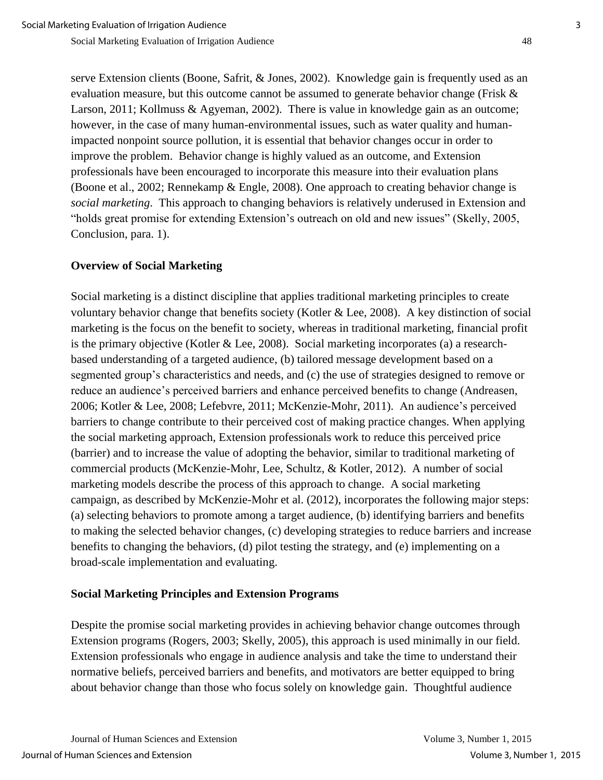serve Extension clients (Boone, Safrit, & Jones, 2002). Knowledge gain is frequently used as an evaluation measure, but this outcome cannot be assumed to generate behavior change (Frisk & Larson, 2011; Kollmuss & Agyeman, 2002). There is value in knowledge gain as an outcome; however, in the case of many human-environmental issues, such as water quality and humanimpacted nonpoint source pollution, it is essential that behavior changes occur in order to improve the problem. Behavior change is highly valued as an outcome, and Extension professionals have been encouraged to incorporate this measure into their evaluation plans (Boone et al., 2002; Rennekamp & Engle, 2008). One approach to creating behavior change is *social marketing*. This approach to changing behaviors is relatively underused in Extension and "holds great promise for extending Extension's outreach on old and new issues" (Skelly, 2005, Conclusion, para. 1).

### **Overview of Social Marketing**

Social marketing is a distinct discipline that applies traditional marketing principles to create voluntary behavior change that benefits society (Kotler & Lee, 2008). A key distinction of social marketing is the focus on the benefit to society, whereas in traditional marketing, financial profit is the primary objective (Kotler & Lee, 2008). Social marketing incorporates (a) a researchbased understanding of a targeted audience, (b) tailored message development based on a segmented group's characteristics and needs, and (c) the use of strategies designed to remove or reduce an audience's perceived barriers and enhance perceived benefits to change (Andreasen, 2006; Kotler & Lee, 2008; Lefebvre, 2011; McKenzie-Mohr, 2011). An audience's perceived barriers to change contribute to their perceived cost of making practice changes. When applying the social marketing approach, Extension professionals work to reduce this perceived price (barrier) and to increase the value of adopting the behavior, similar to traditional marketing of commercial products (McKenzie-Mohr, Lee, Schultz, & Kotler, 2012). A number of social marketing models describe the process of this approach to change. A social marketing campaign, as described by McKenzie-Mohr et al. (2012), incorporates the following major steps: (a) selecting behaviors to promote among a target audience, (b) identifying barriers and benefits to making the selected behavior changes, (c) developing strategies to reduce barriers and increase benefits to changing the behaviors, (d) pilot testing the strategy, and (e) implementing on a broad-scale implementation and evaluating.

#### **Social Marketing Principles and Extension Programs**

Despite the promise social marketing provides in achieving behavior change outcomes through Extension programs (Rogers, 2003; Skelly, 2005), this approach is used minimally in our field. Extension professionals who engage in audience analysis and take the time to understand their normative beliefs, perceived barriers and benefits, and motivators are better equipped to bring about behavior change than those who focus solely on knowledge gain. Thoughtful audience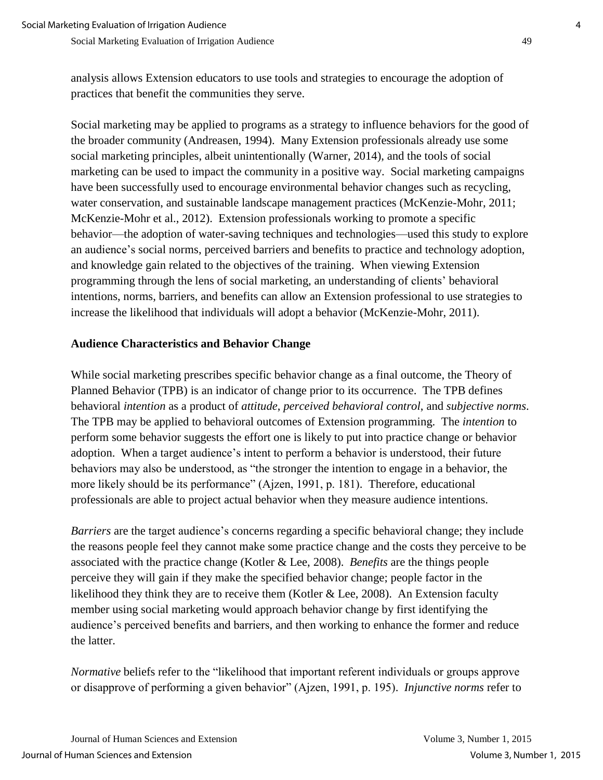analysis allows Extension educators to use tools and strategies to encourage the adoption of practices that benefit the communities they serve.

Social marketing may be applied to programs as a strategy to influence behaviors for the good of the broader community (Andreasen, 1994). Many Extension professionals already use some social marketing principles, albeit unintentionally (Warner, 2014), and the tools of social marketing can be used to impact the community in a positive way. Social marketing campaigns have been successfully used to encourage environmental behavior changes such as recycling, water conservation, and sustainable landscape management practices (McKenzie-Mohr, 2011; McKenzie-Mohr et al., 2012). Extension professionals working to promote a specific behavior—the adoption of water-saving techniques and technologies—used this study to explore an audience's social norms, perceived barriers and benefits to practice and technology adoption, and knowledge gain related to the objectives of the training. When viewing Extension programming through the lens of social marketing, an understanding of clients' behavioral intentions, norms, barriers, and benefits can allow an Extension professional to use strategies to increase the likelihood that individuals will adopt a behavior (McKenzie-Mohr, 2011).

#### **Audience Characteristics and Behavior Change**

While social marketing prescribes specific behavior change as a final outcome, the Theory of Planned Behavior (TPB) is an indicator of change prior to its occurrence. The TPB defines behavioral *intention* as a product of *attitude*, *perceived behavioral control*, and *subjective norms*. The TPB may be applied to behavioral outcomes of Extension programming. The *intention* to perform some behavior suggests the effort one is likely to put into practice change or behavior adoption. When a target audience's intent to perform a behavior is understood, their future behaviors may also be understood, as "the stronger the intention to engage in a behavior, the more likely should be its performance" (Ajzen, 1991, p. 181). Therefore, educational professionals are able to project actual behavior when they measure audience intentions.

*Barriers* are the target audience's concerns regarding a specific behavioral change; they include the reasons people feel they cannot make some practice change and the costs they perceive to be associated with the practice change (Kotler & Lee, 2008). *Benefits* are the things people perceive they will gain if they make the specified behavior change; people factor in the likelihood they think they are to receive them (Kotler & Lee, 2008). An Extension faculty member using social marketing would approach behavior change by first identifying the audience's perceived benefits and barriers, and then working to enhance the former and reduce the latter.

*Normative* beliefs refer to the "likelihood that important referent individuals or groups approve or disapprove of performing a given behavior" (Ajzen, 1991, p. 195). *Injunctive norms* refer to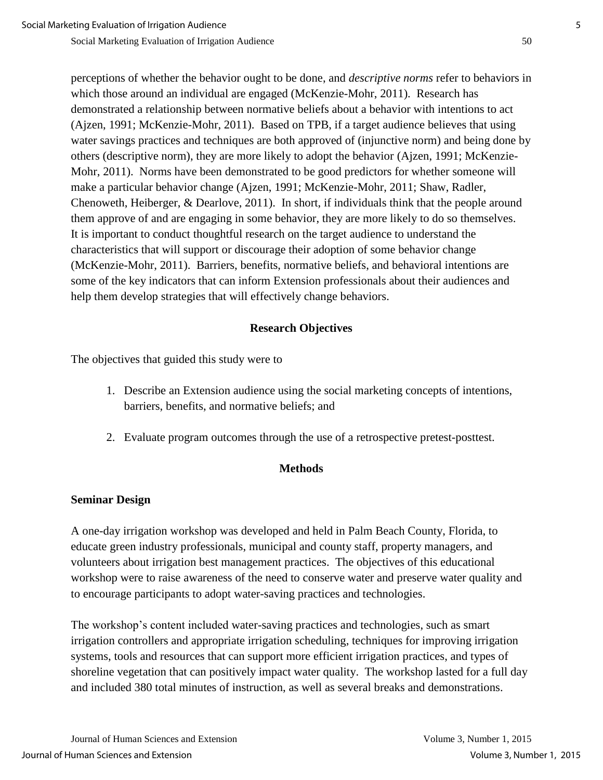perceptions of whether the behavior ought to be done, and *descriptive norms* refer to behaviors in which those around an individual are engaged (McKenzie-Mohr, 2011). Research has demonstrated a relationship between normative beliefs about a behavior with intentions to act (Ajzen, 1991; McKenzie-Mohr, 2011). Based on TPB, if a target audience believes that using water savings practices and techniques are both approved of (injunctive norm) and being done by others (descriptive norm), they are more likely to adopt the behavior (Ajzen, 1991; McKenzie-Mohr, 2011). Norms have been demonstrated to be good predictors for whether someone will make a particular behavior change (Ajzen, 1991; McKenzie-Mohr, 2011; Shaw, Radler, Chenoweth, Heiberger, & Dearlove, 2011). In short, if individuals think that the people around them approve of and are engaging in some behavior, they are more likely to do so themselves. It is important to conduct thoughtful research on the target audience to understand the characteristics that will support or discourage their adoption of some behavior change (McKenzie-Mohr, 2011). Barriers, benefits, normative beliefs, and behavioral intentions are some of the key indicators that can inform Extension professionals about their audiences and help them develop strategies that will effectively change behaviors.

### **Research Objectives**

The objectives that guided this study were to

- 1. Describe an Extension audience using the social marketing concepts of intentions, barriers, benefits, and normative beliefs; and
- 2. Evaluate program outcomes through the use of a retrospective pretest-posttest.

## **Methods**

## **Seminar Design**

A one-day irrigation workshop was developed and held in Palm Beach County, Florida, to educate green industry professionals, municipal and county staff, property managers, and volunteers about irrigation best management practices. The objectives of this educational workshop were to raise awareness of the need to conserve water and preserve water quality and to encourage participants to adopt water-saving practices and technologies.

The workshop's content included water-saving practices and technologies, such as smart irrigation controllers and appropriate irrigation scheduling, techniques for improving irrigation systems, tools and resources that can support more efficient irrigation practices, and types of shoreline vegetation that can positively impact water quality. The workshop lasted for a full day and included 380 total minutes of instruction, as well as several breaks and demonstrations.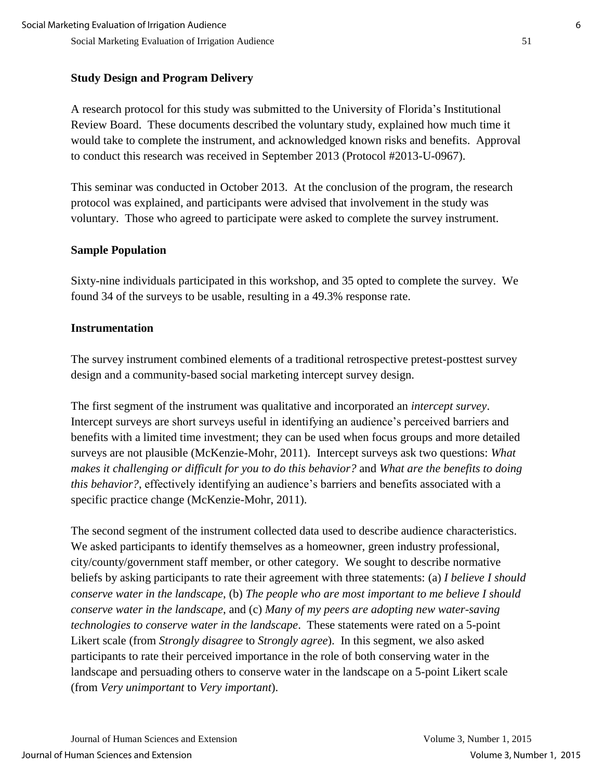## **Study Design and Program Delivery**

A research protocol for this study was submitted to the University of Florida's Institutional Review Board. These documents described the voluntary study, explained how much time it would take to complete the instrument, and acknowledged known risks and benefits. Approval to conduct this research was received in September 2013 (Protocol #2013-U-0967).

This seminar was conducted in October 2013. At the conclusion of the program, the research protocol was explained, and participants were advised that involvement in the study was voluntary. Those who agreed to participate were asked to complete the survey instrument.

## **Sample Population**

Sixty-nine individuals participated in this workshop, and 35 opted to complete the survey. We found 34 of the surveys to be usable, resulting in a 49.3% response rate.

## **Instrumentation**

The survey instrument combined elements of a traditional retrospective pretest-posttest survey design and a community-based social marketing intercept survey design.

The first segment of the instrument was qualitative and incorporated an *intercept survey*. Intercept surveys are short surveys useful in identifying an audience's perceived barriers and benefits with a limited time investment; they can be used when focus groups and more detailed surveys are not plausible (McKenzie-Mohr, 2011). Intercept surveys ask two questions: *What makes it challenging or difficult for you to do this behavior?* and *What are the benefits to doing this behavior?*, effectively identifying an audience's barriers and benefits associated with a specific practice change (McKenzie-Mohr, 2011).

The second segment of the instrument collected data used to describe audience characteristics. We asked participants to identify themselves as a homeowner, green industry professional, city/county/government staff member, or other category. We sought to describe normative beliefs by asking participants to rate their agreement with three statements: (a) *I believe I should conserve water in the landscape*, (b) *The people who are most important to me believe I should conserve water in the landscape*, and (c) *Many of my peers are adopting new water-saving technologies to conserve water in the landscape*. These statements were rated on a 5-point Likert scale (from *Strongly disagree* to *Strongly agree*). In this segment, we also asked participants to rate their perceived importance in the role of both conserving water in the landscape and persuading others to conserve water in the landscape on a 5-point Likert scale (from *Very unimportant* to *Very important*).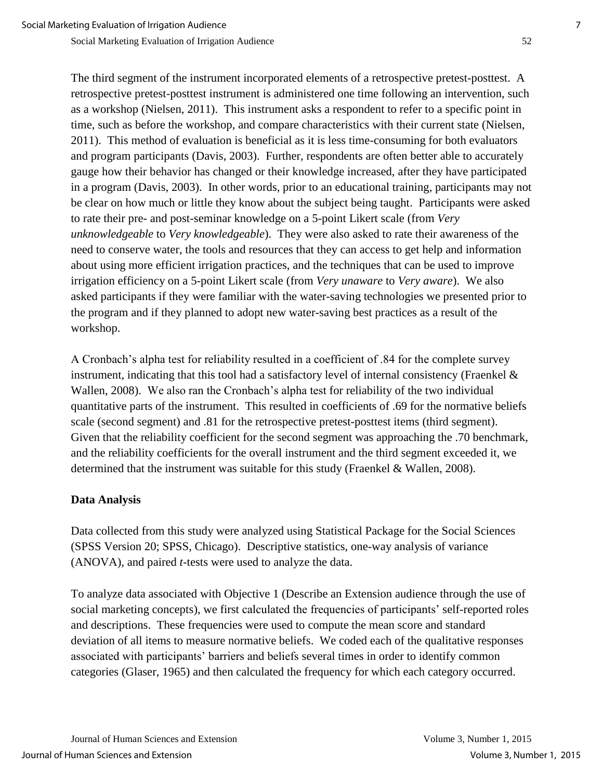The third segment of the instrument incorporated elements of a retrospective pretest-posttest. A retrospective pretest-posttest instrument is administered one time following an intervention, such as a workshop (Nielsen, 2011). This instrument asks a respondent to refer to a specific point in time, such as before the workshop, and compare characteristics with their current state (Nielsen, 2011). This method of evaluation is beneficial as it is less time-consuming for both evaluators and program participants (Davis, 2003). Further, respondents are often better able to accurately gauge how their behavior has changed or their knowledge increased, after they have participated in a program (Davis, 2003). In other words, prior to an educational training, participants may not be clear on how much or little they know about the subject being taught. Participants were asked to rate their pre- and post-seminar knowledge on a 5-point Likert scale (from *Very unknowledgeable* to *Very knowledgeable*). They were also asked to rate their awareness of the need to conserve water, the tools and resources that they can access to get help and information about using more efficient irrigation practices, and the techniques that can be used to improve irrigation efficiency on a 5-point Likert scale (from *Very unaware* to *Very aware*). We also asked participants if they were familiar with the water-saving technologies we presented prior to the program and if they planned to adopt new water-saving best practices as a result of the workshop.

A Cronbach's alpha test for reliability resulted in a coefficient of .84 for the complete survey instrument, indicating that this tool had a satisfactory level of internal consistency (Fraenkel  $\&$ Wallen, 2008). We also ran the Cronbach's alpha test for reliability of the two individual quantitative parts of the instrument. This resulted in coefficients of .69 for the normative beliefs scale (second segment) and .81 for the retrospective pretest-posttest items (third segment). Given that the reliability coefficient for the second segment was approaching the .70 benchmark, and the reliability coefficients for the overall instrument and the third segment exceeded it, we determined that the instrument was suitable for this study (Fraenkel & Wallen, 2008).

#### **Data Analysis**

Data collected from this study were analyzed using Statistical Package for the Social Sciences (SPSS Version 20; SPSS, Chicago). Descriptive statistics, one-way analysis of variance (ANOVA), and paired *t*-tests were used to analyze the data.

To analyze data associated with Objective 1 (Describe an Extension audience through the use of social marketing concepts), we first calculated the frequencies of participants' self-reported roles and descriptions. These frequencies were used to compute the mean score and standard deviation of all items to measure normative beliefs. We coded each of the qualitative responses associated with participants' barriers and beliefs several times in order to identify common categories (Glaser, 1965) and then calculated the frequency for which each category occurred.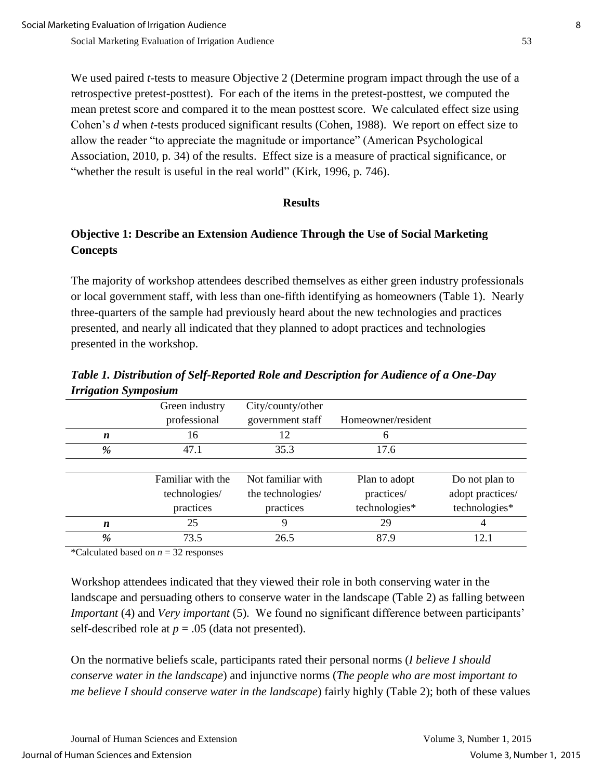We used paired *t-*tests to measure Objective 2 (Determine program impact through the use of a retrospective pretest-posttest). For each of the items in the pretest-posttest, we computed the mean pretest score and compared it to the mean posttest score. We calculated effect size using Cohen's *d* when *t-*tests produced significant results (Cohen, 1988). We report on effect size to allow the reader "to appreciate the magnitude or importance" (American Psychological Association, 2010, p. 34) of the results. Effect size is a measure of practical significance, or "whether the result is useful in the real world" (Kirk, 1996, p. 746).

#### **Results**

## **Objective 1: Describe an Extension Audience Through the Use of Social Marketing Concepts**

The majority of workshop attendees described themselves as either green industry professionals or local government staff, with less than one-fifth identifying as homeowners (Table 1). Nearly three-quarters of the sample had previously heard about the new technologies and practices presented, and nearly all indicated that they planned to adopt practices and technologies presented in the workshop.

| птединон эутромит |                   |                   |                    |                  |  |  |  |
|-------------------|-------------------|-------------------|--------------------|------------------|--|--|--|
|                   | Green industry    | City/county/other |                    |                  |  |  |  |
|                   | professional      | government staff  | Homeowner/resident |                  |  |  |  |
| n                 | 16                | 12                | 6                  |                  |  |  |  |
| %                 | 47.1              | 35.3              | 17.6               |                  |  |  |  |
|                   |                   |                   |                    |                  |  |  |  |
|                   | Familiar with the | Not familiar with | Plan to adopt      | Do not plan to   |  |  |  |
|                   | technologies/     | the technologies/ | practices/         | adopt practices/ |  |  |  |
|                   | practices         | practices         | technologies*      | technologies*    |  |  |  |
| n                 | 25                | 9                 | 29                 | 4                |  |  |  |
| %                 | 73.5              | 26.5              | 87.9               | 12.1             |  |  |  |

*Table 1. Distribution of Self-Reported Role and Description for Audience of a One-Day Irrigation Symposium*

\*Calculated based on *n* = 32 responses

Workshop attendees indicated that they viewed their role in both conserving water in the landscape and persuading others to conserve water in the landscape (Table 2) as falling between *Important* (4) and *Very important* (5). We found no significant difference between participants' self-described role at  $p = .05$  (data not presented).

On the normative beliefs scale, participants rated their personal norms (*I believe I should conserve water in the landscape*) and injunctive norms (*The people who are most important to me believe I should conserve water in the landscape*) fairly highly (Table 2); both of these values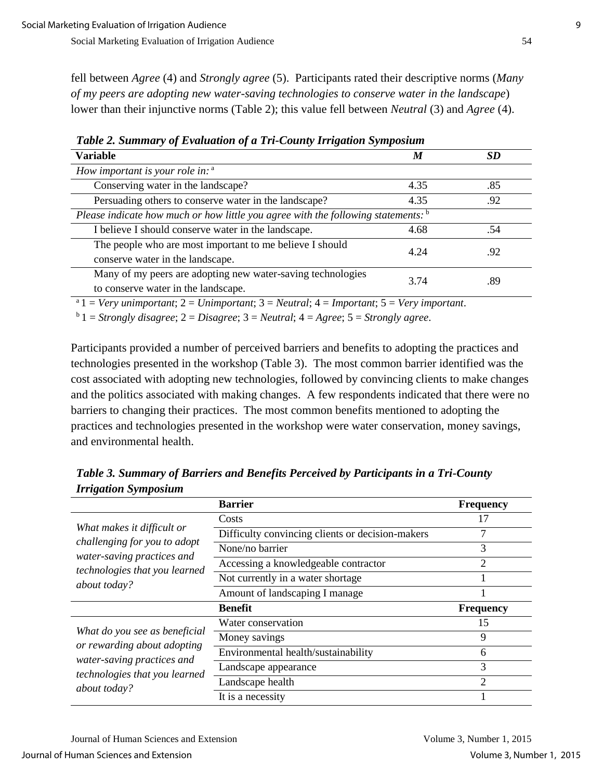fell between *Agree* (4) and *Strongly agree* (5). Participants rated their descriptive norms (*Many of my peers are adopting new water-saving technologies to conserve water in the landscape*) lower than their injunctive norms (Table 2); this value fell between *Neutral* (3) and *Agree* (4).

| <b>Variable</b>                                                                                    | M    | <b>SD</b> |
|----------------------------------------------------------------------------------------------------|------|-----------|
| How important is your role in: $a$                                                                 |      |           |
| Conserving water in the landscape?                                                                 | 4.35 | .85       |
| Persuading others to conserve water in the landscape?                                              | 4.35 | .92       |
| Please indicate how much or how little you agree with the following statements: $\frac{b}{c}$      |      |           |
| I believe I should conserve water in the landscape.                                                | 4.68 | .54       |
| The people who are most important to me believe I should<br>conserve water in the landscape.       | 4.24 | .92       |
| Many of my peers are adopting new water-saving technologies<br>to conserve water in the landscape. | 3.74 | .89       |

*Table 2. Summary of Evaluation of a Tri-County Irrigation Symposium*

<sup>a</sup>1 = *Very unimportant*; 2 = *Unimportant*; 3 = *Neutral*; 4 = *Important*; 5 = *Very important*.

 $b<sup>b</sup>$  1 = *Strongly disagree*; 2 = *Disagree*; 3 = *Neutral*; 4 = *Agree*; 5 = *Strongly agree*.

Participants provided a number of perceived barriers and benefits to adopting the practices and technologies presented in the workshop (Table 3). The most common barrier identified was the cost associated with adopting new technologies, followed by convincing clients to make changes and the politics associated with making changes. A few respondents indicated that there were no barriers to changing their practices. The most common benefits mentioned to adopting the practices and technologies presented in the workshop were water conservation, money savings, and environmental health.

**Barrier Frequency** *What makes it difficult or challenging for you to adopt water-saving practices and technologies that you learned about today?* Costs 17 Difficulty convincing clients or decision-makers 7 None/no barrier 3 Accessing a knowledgeable contractor 2 Not currently in a water shortage 1 Amount of landscaping I manage 1 **Benefit Frequency** *What do you see as beneficial or rewarding about adopting water-saving practices and technologies that you learned about today?* Water conservation 15 Money savings 9 Environmental health/sustainability 6 Landscape appearance 3 Landscape health 2 It is a necessity 1

*Table 3. Summary of Barriers and Benefits Perceived by Participants in a Tri-County Irrigation Symposium*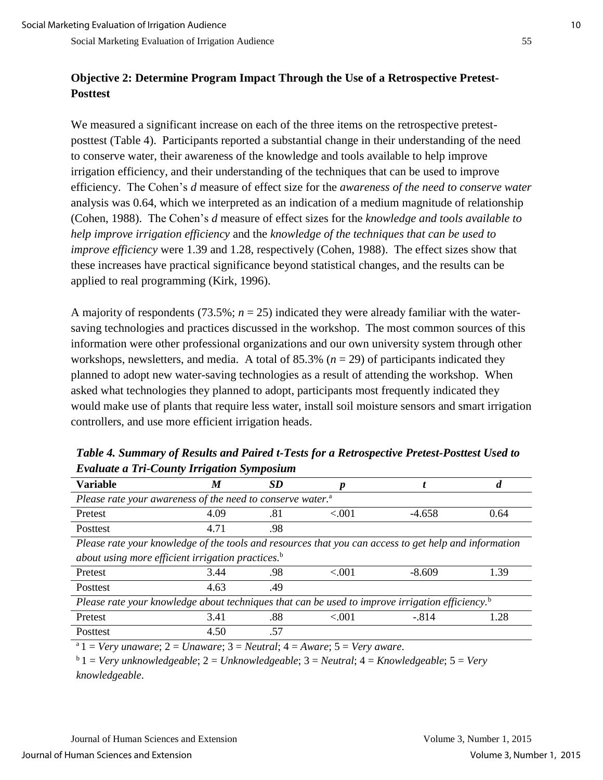## **Objective 2: Determine Program Impact Through the Use of a Retrospective Pretest-Posttest**

We measured a significant increase on each of the three items on the retrospective pretestposttest (Table 4). Participants reported a substantial change in their understanding of the need to conserve water, their awareness of the knowledge and tools available to help improve irrigation efficiency, and their understanding of the techniques that can be used to improve efficiency. The Cohen's *d* measure of effect size for the *awareness of the need to conserve water* analysis was 0.64, which we interpreted as an indication of a medium magnitude of relationship (Cohen, 1988). The Cohen's *d* measure of effect sizes for the *knowledge and tools available to help improve irrigation efficiency* and the *knowledge of the techniques that can be used to improve efficiency* were 1.39 and 1.28, respectively (Cohen, 1988). The effect sizes show that these increases have practical significance beyond statistical changes, and the results can be applied to real programming (Kirk, 1996).

A majority of respondents  $(73.5\%; n = 25)$  indicated they were already familiar with the watersaving technologies and practices discussed in the workshop. The most common sources of this information were other professional organizations and our own university system through other workshops, newsletters, and media. A total of  $85.3\%$  ( $n = 29$ ) of participants indicated they planned to adopt new water-saving technologies as a result of attending the workshop. When asked what technologies they planned to adopt, participants most frequently indicated they would make use of plants that require less water, install soil moisture sensors and smart irrigation controllers, and use more efficient irrigation heads.

| <b>Variable</b>                                                                                             | M    | <b>SD</b> |          |          |      |
|-------------------------------------------------------------------------------------------------------------|------|-----------|----------|----------|------|
| Please rate your awareness of the need to conserve water. <sup>a</sup>                                      |      |           |          |          |      |
| Pretest                                                                                                     | 4.09 | .81       | ${<}001$ | $-4.658$ | 0.64 |
| Posttest                                                                                                    | 4.71 | .98       |          |          |      |
| Please rate your knowledge of the tools and resources that you can access to get help and information       |      |           |          |          |      |
| about using more efficient irrigation practices. $b$                                                        |      |           |          |          |      |
| Pretest                                                                                                     | 3.44 | .98       | ${<}001$ | $-8.609$ | 1.39 |
| Posttest                                                                                                    | 4.63 | .49       |          |          |      |
| Please rate your knowledge about techniques that can be used to improve irrigation efficiency. <sup>b</sup> |      |           |          |          |      |
| Pretest                                                                                                     | 3.41 | .88       | < 0.01   | $-.814$  | 1.28 |
| Posttest                                                                                                    | 4.50 | .57       |          |          |      |
| $^{\circ}$ 1 = Very unaware; 2 = Unaware; 3 = Neutral; 4 = Aware; 5 = Very aware.                           |      |           |          |          |      |

*Table 4. Summary of Results and Paired t-Tests for a Retrospective Pretest-Posttest Used to Evaluate a Tri-County Irrigation Symposium*

<sup>b</sup>1 = *Very unknowledgeable*; 2 = *Unknowledgeable*; 3 = *Neutral*; 4 = *Knowledgeable*; 5 = *Very knowledgeable*.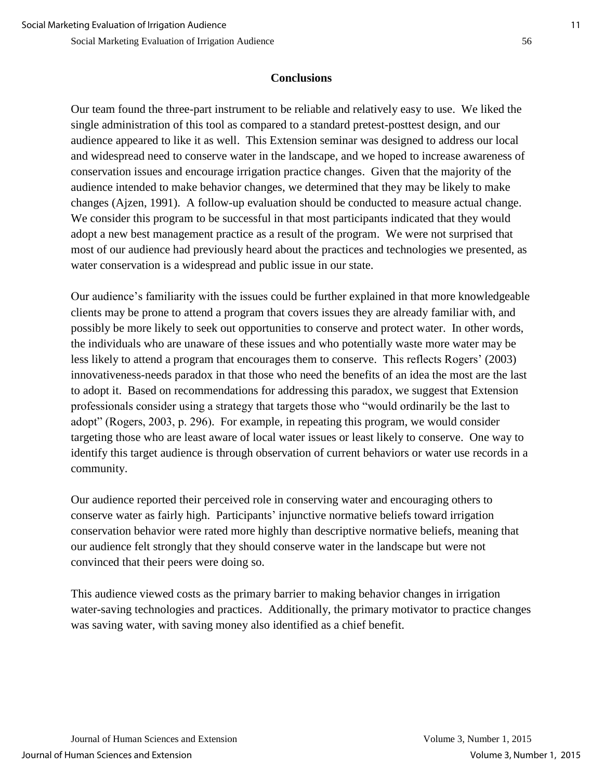### **Conclusions**

Our team found the three-part instrument to be reliable and relatively easy to use. We liked the single administration of this tool as compared to a standard pretest-posttest design, and our audience appeared to like it as well. This Extension seminar was designed to address our local and widespread need to conserve water in the landscape, and we hoped to increase awareness of conservation issues and encourage irrigation practice changes. Given that the majority of the audience intended to make behavior changes, we determined that they may be likely to make changes (Ajzen, 1991). A follow-up evaluation should be conducted to measure actual change. We consider this program to be successful in that most participants indicated that they would adopt a new best management practice as a result of the program. We were not surprised that most of our audience had previously heard about the practices and technologies we presented, as water conservation is a widespread and public issue in our state.

Our audience's familiarity with the issues could be further explained in that more knowledgeable clients may be prone to attend a program that covers issues they are already familiar with, and possibly be more likely to seek out opportunities to conserve and protect water. In other words, the individuals who are unaware of these issues and who potentially waste more water may be less likely to attend a program that encourages them to conserve. This reflects Rogers' (2003) innovativeness-needs paradox in that those who need the benefits of an idea the most are the last to adopt it. Based on recommendations for addressing this paradox, we suggest that Extension professionals consider using a strategy that targets those who "would ordinarily be the last to adopt" (Rogers, 2003, p. 296). For example, in repeating this program, we would consider targeting those who are least aware of local water issues or least likely to conserve. One way to identify this target audience is through observation of current behaviors or water use records in a community.

Our audience reported their perceived role in conserving water and encouraging others to conserve water as fairly high. Participants' injunctive normative beliefs toward irrigation conservation behavior were rated more highly than descriptive normative beliefs, meaning that our audience felt strongly that they should conserve water in the landscape but were not convinced that their peers were doing so.

This audience viewed costs as the primary barrier to making behavior changes in irrigation water-saving technologies and practices. Additionally, the primary motivator to practice changes was saving water, with saving money also identified as a chief benefit.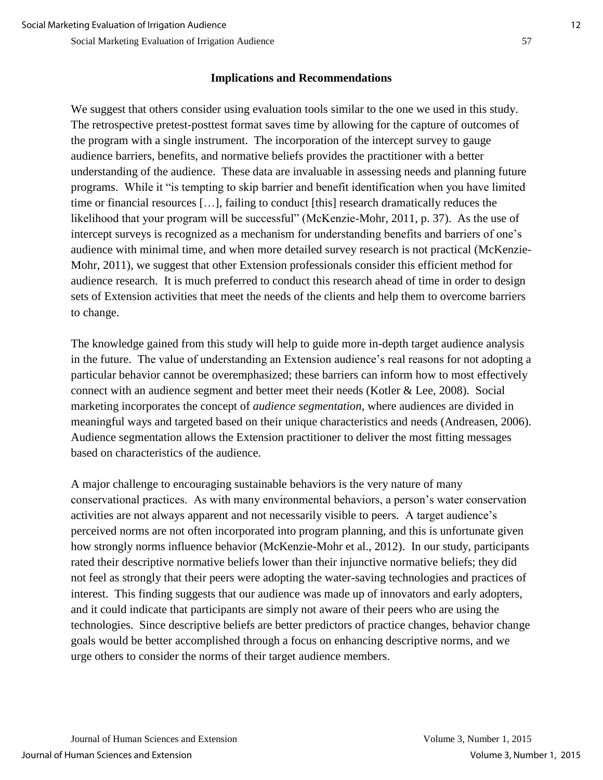#### **Implications and Recommendations**

We suggest that others consider using evaluation tools similar to the one we used in this study. The retrospective pretest-posttest format saves time by allowing for the capture of outcomes of the program with a single instrument. The incorporation of the intercept survey to gauge audience barriers, benefits, and normative beliefs provides the practitioner with a better understanding of the audience. These data are invaluable in assessing needs and planning future programs. While it "is tempting to skip barrier and benefit identification when you have limited time or financial resources […], failing to conduct [this] research dramatically reduces the likelihood that your program will be successful" (McKenzie-Mohr, 2011, p. 37). As the use of intercept surveys is recognized as a mechanism for understanding benefits and barriers of one's audience with minimal time, and when more detailed survey research is not practical (McKenzie-Mohr, 2011), we suggest that other Extension professionals consider this efficient method for audience research. It is much preferred to conduct this research ahead of time in order to design sets of Extension activities that meet the needs of the clients and help them to overcome barriers to change.

The knowledge gained from this study will help to guide more in-depth target audience analysis in the future. The value of understanding an Extension audience's real reasons for not adopting a particular behavior cannot be overemphasized; these barriers can inform how to most effectively connect with an audience segment and better meet their needs (Kotler & Lee, 2008). Social marketing incorporates the concept of *audience segmentation*, where audiences are divided in meaningful ways and targeted based on their unique characteristics and needs (Andreasen, 2006). Audience segmentation allows the Extension practitioner to deliver the most fitting messages based on characteristics of the audience.

A major challenge to encouraging sustainable behaviors is the very nature of many conservational practices. As with many environmental behaviors, a person's water conservation activities are not always apparent and not necessarily visible to peers. A target audience's perceived norms are not often incorporated into program planning, and this is unfortunate given how strongly norms influence behavior (McKenzie-Mohr et al., 2012). In our study, participants rated their descriptive normative beliefs lower than their injunctive normative beliefs; they did not feel as strongly that their peers were adopting the water-saving technologies and practices of interest. This finding suggests that our audience was made up of innovators and early adopters, and it could indicate that participants are simply not aware of their peers who are using the technologies. Since descriptive beliefs are better predictors of practice changes, behavior change goals would be better accomplished through a focus on enhancing descriptive norms, and we urge others to consider the norms of their target audience members.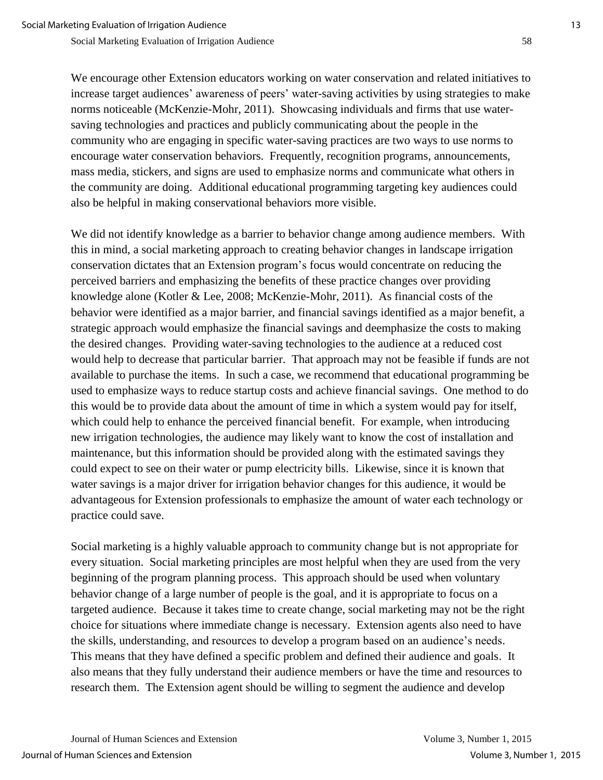We encourage other Extension educators working on water conservation and related initiatives to increase target audiences' awareness of peers' water-saving activities by using strategies to make norms noticeable (McKenzie-Mohr, 2011). Showcasing individuals and firms that use watersaving technologies and practices and publicly communicating about the people in the community who are engaging in specific water-saving practices are two ways to use norms to encourage water conservation behaviors. Frequently, recognition programs, announcements, mass media, stickers, and signs are used to emphasize norms and communicate what others in the community are doing. Additional educational programming targeting key audiences could also be helpful in making conservational behaviors more visible.

We did not identify knowledge as a barrier to behavior change among audience members. With this in mind, a social marketing approach to creating behavior changes in landscape irrigation conservation dictates that an Extension program's focus would concentrate on reducing the perceived barriers and emphasizing the benefits of these practice changes over providing knowledge alone (Kotler & Lee, 2008; McKenzie-Mohr, 2011). As financial costs of the behavior were identified as a major barrier, and financial savings identified as a major benefit, a strategic approach would emphasize the financial savings and deemphasize the costs to making the desired changes. Providing water-saving technologies to the audience at a reduced cost would help to decrease that particular barrier. That approach may not be feasible if funds are not available to purchase the items. In such a case, we recommend that educational programming be used to emphasize ways to reduce startup costs and achieve financial savings. One method to do this would be to provide data about the amount of time in which a system would pay for itself, which could help to enhance the perceived financial benefit. For example, when introducing new irrigation technologies, the audience may likely want to know the cost of installation and maintenance, but this information should be provided along with the estimated savings they could expect to see on their water or pump electricity bills. Likewise, since it is known that water savings is a major driver for irrigation behavior changes for this audience, it would be advantageous for Extension professionals to emphasize the amount of water each technology or practice could save.

Social marketing is a highly valuable approach to community change but is not appropriate for every situation. Social marketing principles are most helpful when they are used from the very beginning of the program planning process. This approach should be used when voluntary behavior change of a large number of people is the goal, and it is appropriate to focus on a targeted audience. Because it takes time to create change, social marketing may not be the right choice for situations where immediate change is necessary. Extension agents also need to have the skills, understanding, and resources to develop a program based on an audience's needs. This means that they have defined a specific problem and defined their audience and goals. It also means that they fully understand their audience members or have the time and resources to research them. The Extension agent should be willing to segment the audience and develop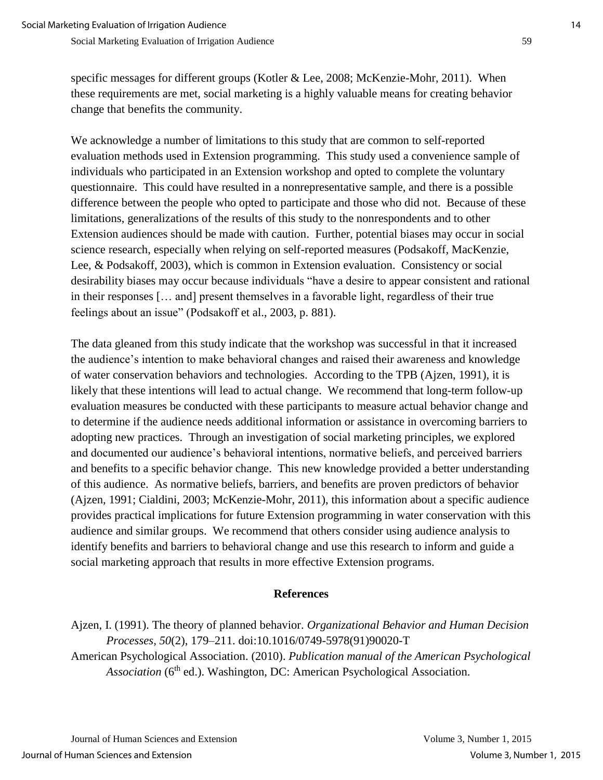specific messages for different groups (Kotler & Lee, 2008; McKenzie-Mohr, 2011). When these requirements are met, social marketing is a highly valuable means for creating behavior change that benefits the community.

We acknowledge a number of limitations to this study that are common to self-reported evaluation methods used in Extension programming. This study used a convenience sample of individuals who participated in an Extension workshop and opted to complete the voluntary questionnaire. This could have resulted in a nonrepresentative sample, and there is a possible difference between the people who opted to participate and those who did not. Because of these limitations, generalizations of the results of this study to the nonrespondents and to other Extension audiences should be made with caution. Further, potential biases may occur in social science research, especially when relying on self-reported measures (Podsakoff, MacKenzie, Lee, & Podsakoff, 2003), which is common in Extension evaluation. Consistency or social desirability biases may occur because individuals "have a desire to appear consistent and rational in their responses [… and] present themselves in a favorable light, regardless of their true feelings about an issue" (Podsakoff et al., 2003, p. 881).

The data gleaned from this study indicate that the workshop was successful in that it increased the audience's intention to make behavioral changes and raised their awareness and knowledge of water conservation behaviors and technologies. According to the TPB (Ajzen, 1991), it is likely that these intentions will lead to actual change. We recommend that long-term follow-up evaluation measures be conducted with these participants to measure actual behavior change and to determine if the audience needs additional information or assistance in overcoming barriers to adopting new practices. Through an investigation of social marketing principles, we explored and documented our audience's behavioral intentions, normative beliefs, and perceived barriers and benefits to a specific behavior change. This new knowledge provided a better understanding of this audience. As normative beliefs, barriers, and benefits are proven predictors of behavior (Ajzen, 1991; Cialdini, 2003; McKenzie-Mohr, 2011), this information about a specific audience provides practical implications for future Extension programming in water conservation with this audience and similar groups. We recommend that others consider using audience analysis to identify benefits and barriers to behavioral change and use this research to inform and guide a social marketing approach that results in more effective Extension programs.

#### **References**

Ajzen, I. (1991). The theory of planned behavior. *Organizational Behavior and Human Decision Processes, 50*(2), 179–211. doi:10.1016/0749-5978(91)90020-T American Psychological Association. (2010). *Publication manual of the American Psychological Association* (6<sup>th</sup> ed.). Washington, DC: American Psychological Association.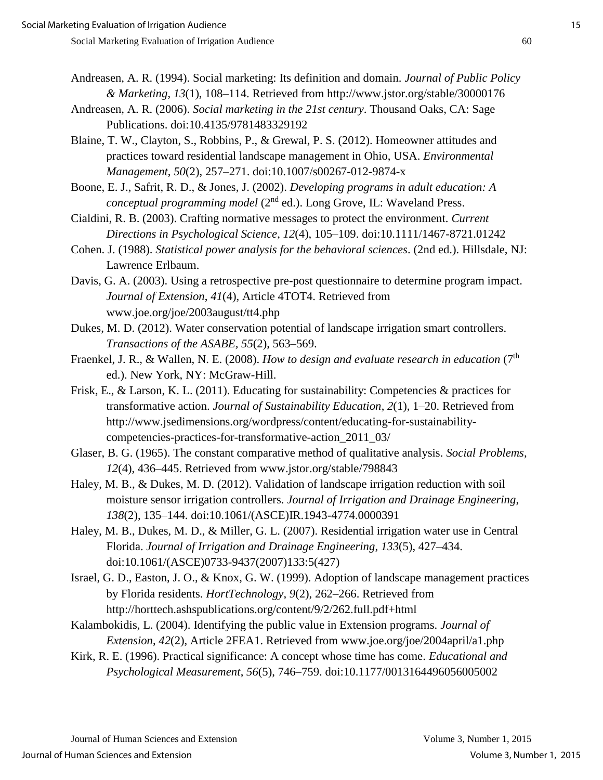- Andreasen, A. R. (1994). Social marketing: Its definition and domain. *Journal of Public Policy & Marketing*, *13*(1), 108–114. Retrieved from http://www.jstor.org/stable/30000176
- Andreasen, A. R. (2006). *Social marketing in the 21st century*. Thousand Oaks, CA: Sage Publications. doi:10.4135/9781483329192
- Blaine, T. W., Clayton, S., Robbins, P., & Grewal, P. S. (2012). Homeowner attitudes and practices toward residential landscape management in Ohio, USA. *Environmental Management*, *50*(2), 257–271. doi:10.1007/s00267-012-9874-x
- Boone, E. J., Safrit, R. D., & Jones, J. (2002). *Developing programs in adult education: A conceptual programming model* (2<sup>nd</sup> ed.). Long Grove, IL: Waveland Press.
- Cialdini, R. B. (2003). Crafting normative messages to protect the environment. *Current Directions in Psychological Science*, *12*(4), 105–109. doi:10.1111/1467-8721.01242
- Cohen. J. (1988). *Statistical power analysis for the behavioral sciences*. (2nd ed.). Hillsdale, NJ: Lawrence Erlbaum.
- Davis, G. A. (2003). Using a retrospective pre-post questionnaire to determine program impact. *Journal of Extension*, *41*(4), Article 4TOT4. Retrieved from www.joe.org/joe/2003august/tt4.php
- Dukes, M. D. (2012). Water conservation potential of landscape irrigation smart controllers. *Transactions of the ASABE, 55*(2), 563–569.
- Fraenkel, J. R., & Wallen, N. E. (2008). *How to design and evaluate research in education* (7<sup>th</sup>) ed.). New York, NY: McGraw-Hill.
- Frisk, E., & Larson, K. L. (2011). Educating for sustainability: Competencies & practices for transformative action. *Journal of Sustainability Education*, *2*(1), 1–20. Retrieved from http://www.jsedimensions.org/wordpress/content/educating-for-sustainabilitycompetencies-practices-for-transformative-action\_2011\_03/
- Glaser, B. G. (1965). The constant comparative method of qualitative analysis. *Social Problems, 12*(4), 436–445. Retrieved from www.jstor.org/stable/798843
- Haley, M. B., & Dukes, M. D. (2012). Validation of landscape irrigation reduction with soil moisture sensor irrigation controllers. *Journal of Irrigation and Drainage Engineering*, *138*(2), 135–144. doi:10.1061/(ASCE)IR.1943-4774.0000391
- Haley, M. B., Dukes, M. D., & Miller, G. L. (2007). Residential irrigation water use in Central Florida. *Journal of Irrigation and Drainage Engineering*, *133*(5), 427–434. doi:10.1061/(ASCE)0733-9437(2007)133:5(427)
- Israel, G. D., Easton, J. O., & Knox, G. W. (1999). Adoption of landscape management practices by Florida residents. *HortTechnology*, *9*(2), 262–266. Retrieved from http://horttech.ashspublications.org/content/9/2/262.full.pdf+html
- Kalambokidis, L. (2004). Identifying the public value in Extension programs. *Journal of Extension*, *42*(2), Article 2FEA1. Retrieved from www.joe.org/joe/2004april/a1.php
- Kirk, R. E. (1996). Practical significance: A concept whose time has come. *Educational and Psychological Measurement*, *56*(5), 746–759. doi:10.1177/0013164496056005002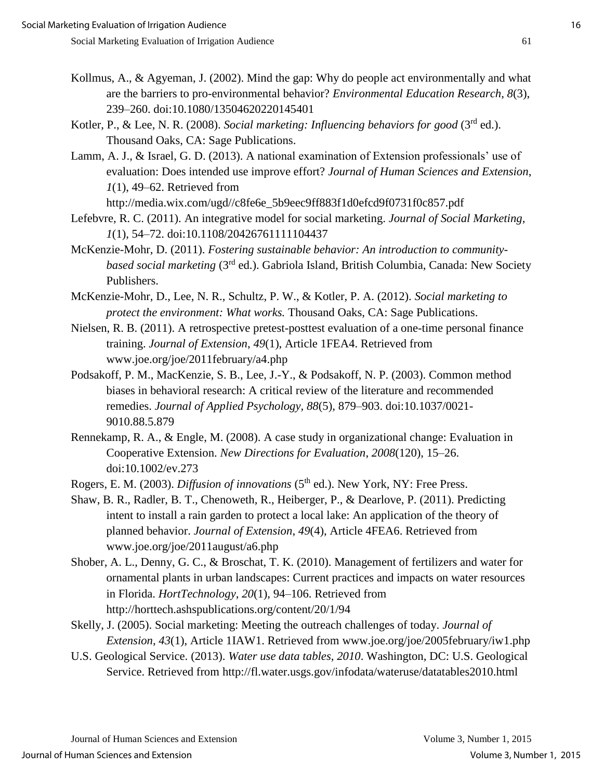- Kollmus, A., & Agyeman, J. (2002). Mind the gap: Why do people act environmentally and what are the barriers to pro-environmental behavior? *Environmental Education Research*, *8*(3), 239–260. doi:10.1080/13504620220145401
- Kotler, P., & Lee, N. R. (2008). *Social marketing: Influencing behaviors for good* (3rd ed.). Thousand Oaks, CA: Sage Publications.
- Lamm, A. J., & Israel, G. D. (2013). A national examination of Extension professionals' use of evaluation: Does intended use improve effort? *Journal of Human Sciences and Extension*, *1*(1), 49–62. Retrieved from

http://media.wix.com/ugd//c8fe6e\_5b9eec9ff883f1d0efcd9f0731f0c857.pdf

- Lefebvre, R. C. (2011). An integrative model for social marketing. *Journal of Social Marketing*, *1*(1), 54–72. doi:10.1108/20426761111104437
- McKenzie-Mohr, D. (2011). *Fostering sustainable behavior: An introduction to communitybased social marketing* (3rd ed.). Gabriola Island, British Columbia, Canada: New Society Publishers.
- McKenzie-Mohr, D., Lee, N. R., Schultz, P. W., & Kotler, P. A. (2012). *Social marketing to protect the environment: What works.* Thousand Oaks, CA: Sage Publications.
- Nielsen, R. B. (2011). A retrospective pretest-posttest evaluation of a one-time personal finance training. *Journal of Extension*, *49*(1), Article 1FEA4. Retrieved from www.joe.org/joe/2011february/a4.php
- Podsakoff, P. M., MacKenzie, S. B., Lee, J.-Y., & Podsakoff, N. P. (2003). Common method biases in behavioral research: A critical review of the literature and recommended remedies. *Journal of Applied Psychology, 88*(5), 879–903. doi:10.1037/0021- 9010.88.5.879
- Rennekamp, R. A., & Engle, M. (2008). A case study in organizational change: Evaluation in Cooperative Extension. *New Directions for Evaluation*, *2008*(120), 15–26. doi:10.1002/ev.273

Rogers, E. M. (2003). *Diffusion of innovations* (5<sup>th</sup> ed.). New York, NY: Free Press.

- Shaw, B. R., Radler, B. T., Chenoweth, R., Heiberger, P., & Dearlove, P. (2011). Predicting intent to install a rain garden to protect a local lake: An application of the theory of planned behavior. *Journal of Extension*, *49*(4), Article 4FEA6. Retrieved from www.joe.org/joe/2011august/a6.php
- Shober, A. L., Denny, G. C., & Broschat, T. K. (2010). Management of fertilizers and water for ornamental plants in urban landscapes: Current practices and impacts on water resources in Florida. *HortTechnology*, *20*(1), 94–106. Retrieved from http://horttech.ashspublications.org/content/20/1/94
- Skelly, J. (2005). Social marketing: Meeting the outreach challenges of today. *Journal of Extension*, *43*(1), Article 1IAW1. Retrieved from www.joe.org/joe/2005february/iw1.php
- U.S. Geological Service. (2013). *Water use data tables, 2010*. Washington, DC: U.S. Geological Service. Retrieved from http://fl.water.usgs.gov/infodata/wateruse/datatables2010.html